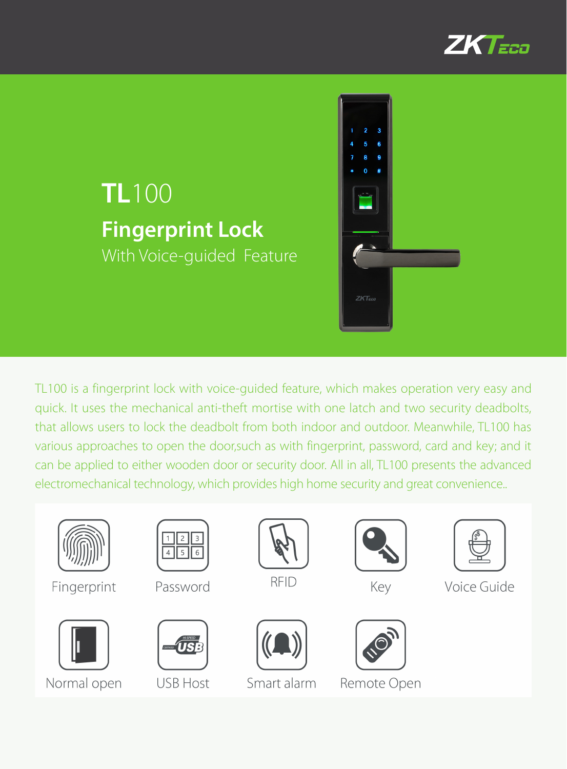

# **TL100 Fingerprint Lock** With Voice-guided Feature



TL100 is a fingerprint lock with voice-guided feature, which makes operation very easy and quick. It uses the mechanical anti-theft mortise with one latch and two security deadbolts, that allows users to lock the deadbolt from both indoor and outdoor. Meanwhile, TL100 has various approaches to open the door, such as with fingerprint, password, card and key; and it can be applied to either wooden door or security door. All in all, TL100 presents the advanced electromechanical technology, which provides high home security and great convenience..



Fingerprint



Normal open



Password



**USB Host** 



**RFID** 



Smart alarm



Key



### Remote Open



Voice Guide